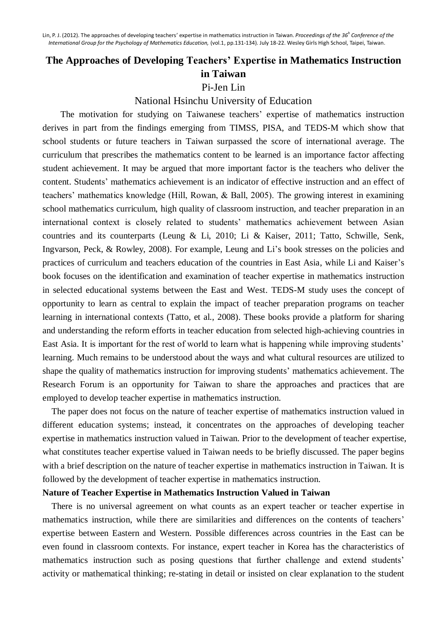## **The Approaches of Developing Teachers' Expertise in Mathematics Instruction in Taiwan**

Pi-Jen Lin

National Hsinchu University of Education

The motivation for studying on Taiwanese teachers' expertise of mathematics instruction derives in part from the findings emerging from TIMSS, PISA, and TEDS-M which show that school students or future teachers in Taiwan surpassed the score of international average. The curriculum that prescribes the mathematics content to be learned is an importance factor affecting student achievement. It may be argued that more important factor is the teachers who deliver the content. Students' mathematics achievement is an indicator of effective instruction and an effect of teachers' mathematics knowledge (Hill, Rowan, & Ball, 2005). The growing interest in examining school mathematics curriculum, high quality of classroom instruction, and teacher preparation in an international context is closely related to students' mathematics achievement between Asian countries and its counterparts (Leung & Li, 2010; Li & Kaiser, 2011; Tatto, Schwille, Senk, Ingvarson, Peck, & Rowley, 2008). For example, Leung and Li's book stresses on the policies and practices of curriculum and teachers education of the countries in East Asia, while Li and Kaiser's book focuses on the identification and examination of teacher expertise in mathematics instruction in selected educational systems between the East and West. TEDS-M study uses the concept of opportunity to learn as central to explain the impact of teacher preparation programs on teacher learning in international contexts (Tatto, et al., 2008). These books provide a platform for sharing and understanding the reform efforts in teacher education from selected high-achieving countries in East Asia. It is important for the rest of world to learn what is happening while improving students' learning. Much remains to be understood about the ways and what cultural resources are utilized to shape the quality of mathematics instruction for improving students' mathematics achievement. The Research Forum is an opportunity for Taiwan to share the approaches and practices that are employed to develop teacher expertise in mathematics instruction.

The paper does not focus on the nature of teacher expertise of mathematics instruction valued in different education systems; instead, it concentrates on the approaches of developing teacher expertise in mathematics instruction valued in Taiwan. Prior to the development of teacher expertise, what constitutes teacher expertise valued in Taiwan needs to be briefly discussed. The paper begins with a brief description on the nature of teacher expertise in mathematics instruction in Taiwan. It is followed by the development of teacher expertise in mathematics instruction.

## **Nature of Teacher Expertise in Mathematics Instruction Valued in Taiwan**

There is no universal agreement on what counts as an expert teacher or teacher expertise in mathematics instruction, while there are similarities and differences on the contents of teachers' expertise between Eastern and Western. Possible differences across countries in the East can be even found in classroom contexts. For instance, expert teacher in Korea has the characteristics of mathematics instruction such as posing questions that further challenge and extend students' activity or mathematical thinking; re-stating in detail or insisted on clear explanation to the student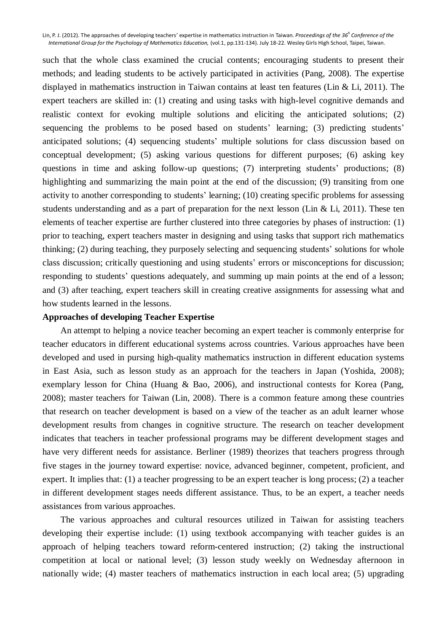such that the whole class examined the crucial contents; encouraging students to present their methods; and leading students to be actively participated in activities (Pang, 2008). The expertise displayed in mathematics instruction in Taiwan contains at least ten features (Lin & Li, 2011). The expert teachers are skilled in: (1) creating and using tasks with high-level cognitive demands and realistic context for evoking multiple solutions and eliciting the anticipated solutions; (2) sequencing the problems to be posed based on students' learning; (3) predicting students' anticipated solutions; (4) sequencing students' multiple solutions for class discussion based on conceptual development; (5) asking various questions for different purposes; (6) asking key questions in time and asking follow-up questions; (7) interpreting students' productions; (8) highlighting and summarizing the main point at the end of the discussion; (9) transiting from one activity to another corresponding to students' learning; (10) creating specific problems for assessing students understanding and as a part of preparation for the next lesson (Lin & Li, 2011). These ten elements of teacher expertise are further clustered into three categories by phases of instruction: (1) prior to teaching, expert teachers master in designing and using tasks that support rich mathematics thinking; (2) during teaching, they purposely selecting and sequencing students' solutions for whole class discussion; critically questioning and using students' errors or misconceptions for discussion; responding to students' questions adequately, and summing up main points at the end of a lesson; and (3) after teaching, expert teachers skill in creating creative assignments for assessing what and how students learned in the lessons.

## **Approaches of developing Teacher Expertise**

An attempt to helping a novice teacher becoming an expert teacher is commonly enterprise for teacher educators in different educational systems across countries. Various approaches have been developed and used in pursing high-quality mathematics instruction in different education systems in East Asia, such as lesson study as an approach for the teachers in Japan (Yoshida, 2008); exemplary lesson for China (Huang & Bao, 2006), and instructional contests for Korea (Pang, 2008); master teachers for Taiwan (Lin, 2008). There is a common feature among these countries that research on teacher development is based on a view of the teacher as an adult learner whose development results from changes in cognitive structure. The research on teacher development indicates that teachers in teacher professional programs may be different development stages and have very different needs for assistance. Berliner (1989) theorizes that teachers progress through five stages in the journey toward expertise: novice, advanced beginner, competent, proficient, and expert. It implies that: (1) a teacher progressing to be an expert teacher is long process; (2) a teacher in different development stages needs different assistance. Thus, to be an expert, a teacher needs assistances from various approaches.

The various approaches and cultural resources utilized in Taiwan for assisting teachers developing their expertise include: (1) using textbook accompanying with teacher guides is an approach of helping teachers toward reform-centered instruction; (2) taking the instructional competition at local or national level; (3) lesson study weekly on Wednesday afternoon in nationally wide; (4) master teachers of mathematics instruction in each local area; (5) upgrading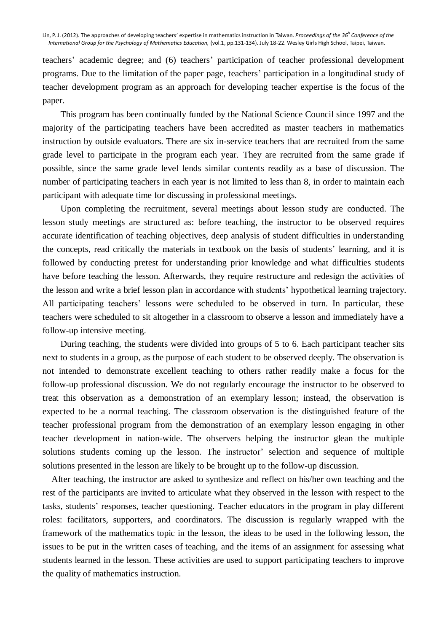teachers' academic degree; and (6) teachers' participation of teacher professional development programs. Due to the limitation of the paper page, teachers' participation in a longitudinal study of teacher development program as an approach for developing teacher expertise is the focus of the paper.

This program has been continually funded by the National Science Council since 1997 and the majority of the participating teachers have been accredited as master teachers in mathematics instruction by outside evaluators. There are six in-service teachers that are recruited from the same grade level to participate in the program each year. They are recruited from the same grade if possible, since the same grade level lends similar contents readily as a base of discussion. The number of participating teachers in each year is not limited to less than 8, in order to maintain each participant with adequate time for discussing in professional meetings.

Upon completing the recruitment, several meetings about lesson study are conducted. The lesson study meetings are structured as: before teaching, the instructor to be observed requires accurate identification of teaching objectives, deep analysis of student difficulties in understanding the concepts, read critically the materials in textbook on the basis of students' learning, and it is followed by conducting pretest for understanding prior knowledge and what difficulties students have before teaching the lesson. Afterwards, they require restructure and redesign the activities of the lesson and write a brief lesson plan in accordance with students' hypothetical learning trajectory. All participating teachers' lessons were scheduled to be observed in turn. In particular, these teachers were scheduled to sit altogether in a classroom to observe a lesson and immediately have a follow-up intensive meeting.

During teaching, the students were divided into groups of 5 to 6. Each participant teacher sits next to students in a group, as the purpose of each student to be observed deeply. The observation is not intended to demonstrate excellent teaching to others rather readily make a focus for the follow-up professional discussion. We do not regularly encourage the instructor to be observed to treat this observation as a demonstration of an exemplary lesson; instead, the observation is expected to be a normal teaching. The classroom observation is the distinguished feature of the teacher professional program from the demonstration of an exemplary lesson engaging in other teacher development in nation-wide. The observers helping the instructor glean the multiple solutions students coming up the lesson. The instructor' selection and sequence of multiple solutions presented in the lesson are likely to be brought up to the follow-up discussion.

After teaching, the instructor are asked to synthesize and reflect on his/her own teaching and the rest of the participants are invited to articulate what they observed in the lesson with respect to the tasks, students' responses, teacher questioning. Teacher educators in the program in play different roles: facilitators, supporters, and coordinators. The discussion is regularly wrapped with the framework of the mathematics topic in the lesson, the ideas to be used in the following lesson, the issues to be put in the written cases of teaching, and the items of an assignment for assessing what students learned in the lesson. These activities are used to support participating teachers to improve the quality of mathematics instruction.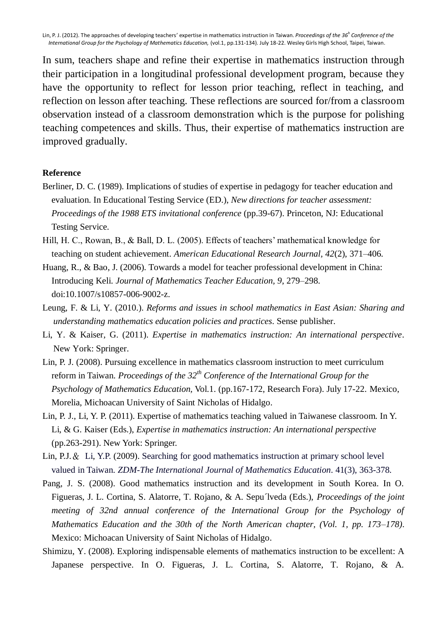In sum, teachers shape and refine their expertise in mathematics instruction through their participation in a longitudinal professional development program, because they have the opportunity to reflect for lesson prior teaching, reflect in teaching, and reflection on lesson after teaching. These reflections are sourced for/from a classroom observation instead of a classroom demonstration which is the purpose for polishing teaching competences and skills. Thus, their expertise of mathematics instruction are improved gradually.

## **Reference**

- Berliner, D. C. (1989). Implications of studies of expertise in pedagogy for teacher education and evaluation. In Educational Testing Service (ED.), *New directions for teacher assessment: Proceedings of the 1988 ETS invitational conference* (pp.39-67). Princeton, NJ: Educational Testing Service.
- Hill, H. C., Rowan, B., & Ball, D. L. (2005). Effects of teachers' mathematical knowledge for teaching on student achievement. *American Educational Research Journal, 42*(2), 371–406.
- Huang, R., & Bao, J. (2006). Towards a model for teacher professional development in China: Introducing Keli. *Journal of Mathematics Teacher Education, 9*, 279–298. doi:10.1007/s10857-006-9002-z.
- Leung, F. & Li, Y. (2010.). *Reforms and issues in school mathematics in East Asian: Sharing and understanding mathematics education policies and practices*. Sense publisher.
- Li, Y. & Kaiser, G. (2011). *Expertise in mathematics instruction: An international perspective*. New York: Springer.
- Lin, P. J. (2008). Pursuing excellence in mathematics classroom instruction to meet curriculum reform in Taiwan. *Proceedings of the 32th Conference of the International Group for the Psychology of Mathematics Education,* Vol.1. (pp.167-172, Research Fora). July 17-22. Mexico, Morelia, Michoacan University of Saint Nicholas of Hidalgo.
- Lin, P. J., Li, Y. P. (2011). Expertise of mathematics teaching valued in Taiwanese classroom. In Y. Li, & G. Kaiser (Eds.), *Expertise in mathematics instruction: An international perspective*  (pp.263-291). New York: Springer.
- Lin, P.J.& Li, Y.P. (2009). Searching for good mathematics instruction at primary school level valued in Taiwan. *ZDM-The International Journal of Mathematics Education*. 41(3), 363-378.
- Pang, J. S. (2008). Good mathematics instruction and its development in South Korea. In O. Figueras, J. L. Cortina, S. Alatorre, T. Rojano, & A. Sepu´lveda (Eds.), *Proceedings of the joint meeting of 32nd annual conference of the International Group for the Psychology of Mathematics Education and the 30th of the North American chapter, (Vol. 1, pp. 173–178)*. Mexico: Michoacan University of Saint Nicholas of Hidalgo.
- Shimizu, Y. (2008). Exploring indispensable elements of mathematics instruction to be excellent: A Japanese perspective. In O. Figueras, J. L. Cortina, S. Alatorre, T. Rojano, & A.